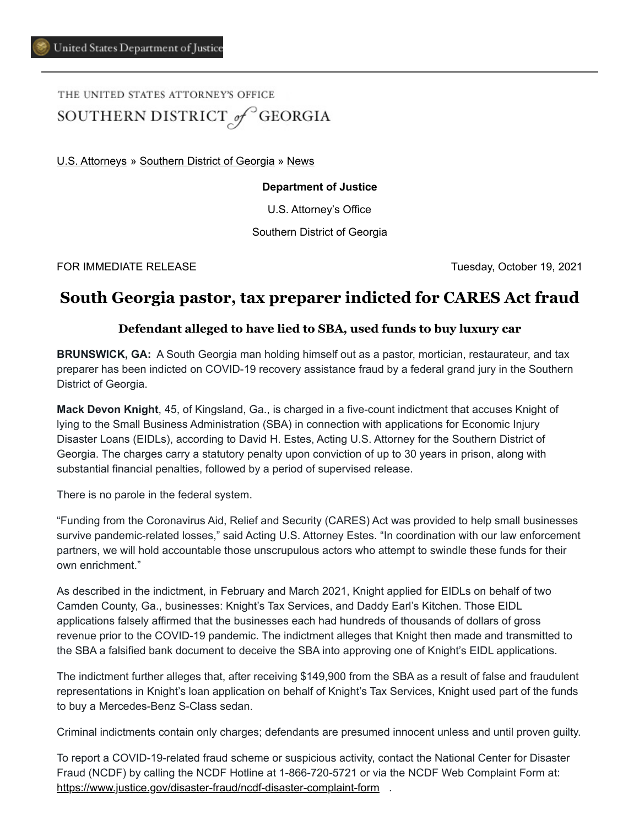# THE UNITED STATES ATTORNEY'S OFFICE SOUTHERN DISTRICT of GEORGIA

[U.S. Attorneys](https://www.justice.gov/usao) » [Southern District of Georgia](https://www.justice.gov/usao-sdga) » [News](https://www.justice.gov/usao-sdga/pr)

#### **Department of Justice**

U.S. Attorney's Office

Southern District of Georgia

FOR IMMEDIATE RELEASE Tuesday, October 19, 2021

# **South Georgia pastor, tax preparer indicted for CARES Act fraud**

### **Defendant alleged to have lied to SBA, used funds to buy luxury car**

**BRUNSWICK, GA:** A South Georgia man holding himself out as a pastor, mortician, restaurateur, and tax preparer has been indicted on COVID-19 recovery assistance fraud by a federal grand jury in the Southern District of Georgia.

**Mack Devon Knight**, 45, of Kingsland, Ga., is charged in a five-count indictment that accuses Knight of lying to the Small Business Administration (SBA) in connection with applications for Economic Injury Disaster Loans (EIDLs), according to David H. Estes, Acting U.S. Attorney for the Southern District of Georgia. The charges carry a statutory penalty upon conviction of up to 30 years in prison, along with substantial financial penalties, followed by a period of supervised release.

There is no parole in the federal system.

"Funding from the Coronavirus Aid, Relief and Security (CARES) Act was provided to help small businesses survive pandemic-related losses," said Acting U.S. Attorney Estes. "In coordination with our law enforcement partners, we will hold accountable those unscrupulous actors who attempt to swindle these funds for their own enrichment."

As described in the indictment, in February and March 2021, Knight applied for EIDLs on behalf of two Camden County, Ga., businesses: Knight's Tax Services, and Daddy Earl's Kitchen. Those EIDL applications falsely affirmed that the businesses each had hundreds of thousands of dollars of gross revenue prior to the COVID-19 pandemic. The indictment alleges that Knight then made and transmitted to the SBA a falsified bank document to deceive the SBA into approving one of Knight's EIDL applications.

The indictment further alleges that, after receiving \$149,900 from the SBA as a result of false and fraudulent representations in Knight's loan application on behalf of Knight's Tax Services, Knight used part of the funds to buy a Mercedes-Benz S-Class sedan.

Criminal indictments contain only charges; defendants are presumed innocent unless and until proven guilty.

To report a COVID-19-related fraud scheme or suspicious activity, contact the National Center for Disaster Fraud (NCDF) by calling the NCDF Hotline at 1-866-720-5721 or via the NCDF Web Complaint Form at: [https://www.justice.gov/disaster-fraud/ncdf-disaster-complaint-form](https://protect2.fireeye.com/v1/url?k=87802899-d81b1062-87870c7c-ac1f6b0176a2-f9a703a2ab81f7b9&q=1&e=9763666b-2398-4211-ab91-dc8467720282&u=https%3A%2F%2Flnks.gd%2Fl%2FeyJhbGciOiJIUzI1NiJ9.eyJidWxsZXRpbl9saW5rX2lkIjoxMTIsInVyaSI6ImJwMjpjbGljayIsImJ1bGxldGluX2lkIjoiMjAyMTAzMjYuMzc3NjI0NjEiLCJ1cmwiOiJodHRwczovL3d3dy5qdXN0aWNlLmdvdi9kaXNhc3Rlci1mcmF1ZC9uY2RmLWRpc2FzdGVyLWNvbXBsYWludC1mb3JtP3V0bV9tZWRpdW09ZW1haWwmdXRtX3NvdXJjZT1nb3ZkZWxpdmVyeSJ9.Y5OyxFsP57anCgJNq4PHbPFxDDZTWcfTF5UISZC3bhk%2Fs%2F867346352%2Fbr%2F100712688349-l) .